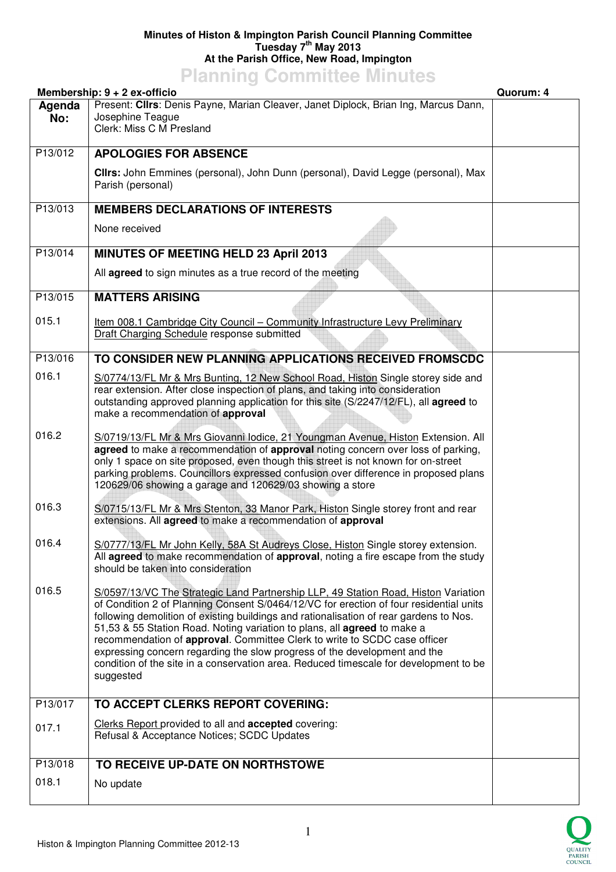## **Minutes of Histon & Impington Parish Council Planning Committee Tuesday 7th May 2013 At the Parish Office, New Road, Impington**

## **Planning Committee Minutes**

| Membership: 9 + 2 ex-officio<br>Quorum: 4 |                                                                                                                                                                                                                                                                                                                                                                                                                                                                                                                                                                                                                    |  |
|-------------------------------------------|--------------------------------------------------------------------------------------------------------------------------------------------------------------------------------------------------------------------------------------------------------------------------------------------------------------------------------------------------------------------------------------------------------------------------------------------------------------------------------------------------------------------------------------------------------------------------------------------------------------------|--|
| Agenda<br>No:                             | Present: Clirs: Denis Payne, Marian Cleaver, Janet Diplock, Brian Ing, Marcus Dann,<br>Josephine Teague<br>Clerk: Miss C M Presland                                                                                                                                                                                                                                                                                                                                                                                                                                                                                |  |
| P13/012                                   | <b>APOLOGIES FOR ABSENCE</b>                                                                                                                                                                                                                                                                                                                                                                                                                                                                                                                                                                                       |  |
|                                           | Clirs: John Emmines (personal), John Dunn (personal), David Legge (personal), Max<br>Parish (personal)                                                                                                                                                                                                                                                                                                                                                                                                                                                                                                             |  |
| P13/013                                   | <b>MEMBERS DECLARATIONS OF INTERESTS</b>                                                                                                                                                                                                                                                                                                                                                                                                                                                                                                                                                                           |  |
|                                           | None received                                                                                                                                                                                                                                                                                                                                                                                                                                                                                                                                                                                                      |  |
| P13/014                                   | <b>MINUTES OF MEETING HELD 23 April 2013</b>                                                                                                                                                                                                                                                                                                                                                                                                                                                                                                                                                                       |  |
|                                           | All agreed to sign minutes as a true record of the meeting                                                                                                                                                                                                                                                                                                                                                                                                                                                                                                                                                         |  |
| P13/015                                   | <b>MATTERS ARISING</b>                                                                                                                                                                                                                                                                                                                                                                                                                                                                                                                                                                                             |  |
| 015.1                                     | Item 008.1 Cambridge City Council - Community Infrastructure Levy Preliminary<br>Draft Charging Schedule response submitted                                                                                                                                                                                                                                                                                                                                                                                                                                                                                        |  |
| P13/016                                   | TO CONSIDER NEW PLANNING APPLICATIONS RECEIVED FROMSCDC                                                                                                                                                                                                                                                                                                                                                                                                                                                                                                                                                            |  |
| 016.1                                     | S/0774/13/FL Mr & Mrs Bunting, 12 New School Road, Histon Single storey side and<br>rear extension. After close inspection of plans, and taking into consideration<br>outstanding approved planning application for this site (S/2247/12/FL), all agreed to<br>make a recommendation of approval                                                                                                                                                                                                                                                                                                                   |  |
| 016.2                                     | S/0719/13/FL Mr & Mrs Giovanni Iodice, 21 Youngman Avenue, Histon Extension. All<br>agreed to make a recommendation of approval noting concern over loss of parking,<br>only 1 space on site proposed, even though this street is not known for on-street<br>parking problems. Councillors expressed confusion over difference in proposed plans<br>120629/06 showing a garage and 120629/03 showing a store                                                                                                                                                                                                       |  |
| 016.3                                     | S/0715/13/FL Mr & Mrs Stenton, 33 Manor Park, Histon Single storey front and rear<br>extensions. All agreed to make a recommendation of approval                                                                                                                                                                                                                                                                                                                                                                                                                                                                   |  |
| 016.4                                     | S/0777/13/FL Mr John Kelly, 58A St Audreys Close, Histon Single storey extension.<br>All agreed to make recommendation of approval, noting a fire escape from the study<br>should be taken into consideration                                                                                                                                                                                                                                                                                                                                                                                                      |  |
| 016.5                                     | S/0597/13/VC The Strategic Land Partnership LLP, 49 Station Road, Histon Variation<br>of Condition 2 of Planning Consent S/0464/12/VC for erection of four residential units<br>following demolition of existing buildings and rationalisation of rear gardens to Nos.<br>51,53 & 55 Station Road. Noting variation to plans, all agreed to make a<br>recommendation of approval. Committee Clerk to write to SCDC case officer<br>expressing concern regarding the slow progress of the development and the<br>condition of the site in a conservation area. Reduced timescale for development to be<br>suggested |  |
| P13/017                                   | TO ACCEPT CLERKS REPORT COVERING:                                                                                                                                                                                                                                                                                                                                                                                                                                                                                                                                                                                  |  |
| 017.1                                     | Clerks Report provided to all and accepted covering:<br>Refusal & Acceptance Notices; SCDC Updates                                                                                                                                                                                                                                                                                                                                                                                                                                                                                                                 |  |
| P13/018                                   | TO RECEIVE UP-DATE ON NORTHSTOWE                                                                                                                                                                                                                                                                                                                                                                                                                                                                                                                                                                                   |  |
| 018.1                                     | No update                                                                                                                                                                                                                                                                                                                                                                                                                                                                                                                                                                                                          |  |